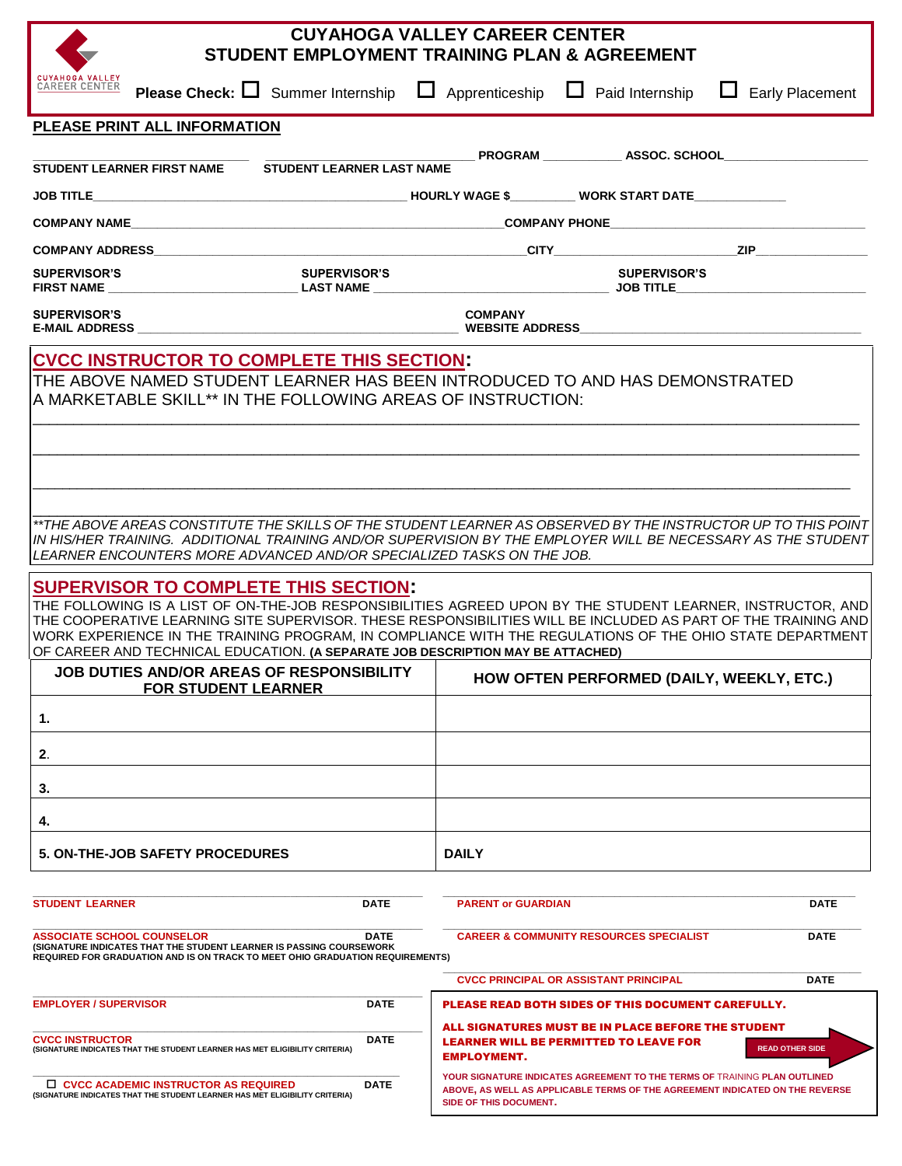| <b>CUYAHOGA VALLEY CAREER CENTER</b><br>STUDENT EMPLOYMENT TRAINING PLAN & AGREEMENT                                                                                                                                                                                                                                                                                                                                                                                                                                                                                                                                                                                                                                                                                                 |                                                                                                                                   |                                           |                                                                                                     |                                                                                                                                                           |
|--------------------------------------------------------------------------------------------------------------------------------------------------------------------------------------------------------------------------------------------------------------------------------------------------------------------------------------------------------------------------------------------------------------------------------------------------------------------------------------------------------------------------------------------------------------------------------------------------------------------------------------------------------------------------------------------------------------------------------------------------------------------------------------|-----------------------------------------------------------------------------------------------------------------------------------|-------------------------------------------|-----------------------------------------------------------------------------------------------------|-----------------------------------------------------------------------------------------------------------------------------------------------------------|
| <b>CUYAHOGA VALLEY</b><br><b>CAREER CENTER</b><br><b>Please Check:</b> $\Box$ Summer Internship $\Box$ Apprenticeship $\Box$ Paid Internship                                                                                                                                                                                                                                                                                                                                                                                                                                                                                                                                                                                                                                         |                                                                                                                                   |                                           |                                                                                                     | ш<br><b>Early Placement</b>                                                                                                                               |
| PLEASE PRINT ALL INFORMATION                                                                                                                                                                                                                                                                                                                                                                                                                                                                                                                                                                                                                                                                                                                                                         |                                                                                                                                   |                                           |                                                                                                     |                                                                                                                                                           |
| <b>STUDENT LEARNER LAST NAME</b><br>STUDENT LEARNER FIRST NAME                                                                                                                                                                                                                                                                                                                                                                                                                                                                                                                                                                                                                                                                                                                       |                                                                                                                                   |                                           |                                                                                                     |                                                                                                                                                           |
|                                                                                                                                                                                                                                                                                                                                                                                                                                                                                                                                                                                                                                                                                                                                                                                      |                                                                                                                                   |                                           |                                                                                                     |                                                                                                                                                           |
| <b>COMPANY NAME</b>                                                                                                                                                                                                                                                                                                                                                                                                                                                                                                                                                                                                                                                                                                                                                                  |                                                                                                                                   |                                           |                                                                                                     |                                                                                                                                                           |
|                                                                                                                                                                                                                                                                                                                                                                                                                                                                                                                                                                                                                                                                                                                                                                                      |                                                                                                                                   |                                           |                                                                                                     |                                                                                                                                                           |
| <b>SUPERVISOR'S</b><br><b>SUPERVISOR'S</b>                                                                                                                                                                                                                                                                                                                                                                                                                                                                                                                                                                                                                                                                                                                                           |                                                                                                                                   |                                           | <b>SUPERVISOR'S</b>                                                                                 |                                                                                                                                                           |
| <b>SUPERVISOR'S</b>                                                                                                                                                                                                                                                                                                                                                                                                                                                                                                                                                                                                                                                                                                                                                                  | <b>COMPANY</b><br>E-MAIL ADDRESS FOR THE RESIDENCE OF THE RESIDENCE OF THE RESIDENCE ADDRESS FOR THE RESIDENCE OF THE RESIDENCE O |                                           |                                                                                                     |                                                                                                                                                           |
| <b>CVCC INSTRUCTOR TO COMPLETE THIS SECTION:</b><br>THE ABOVE NAMED STUDENT LEARNER HAS BEEN INTRODUCED TO AND HAS DEMONSTRATED<br>A MARKETABLE SKILL** IN THE FOLLOWING AREAS OF INSTRUCTION:                                                                                                                                                                                                                                                                                                                                                                                                                                                                                                                                                                                       |                                                                                                                                   |                                           |                                                                                                     |                                                                                                                                                           |
| **THE ABOVE AREAS CONSTITUTE THE SKILLS OF THE STUDENT LEARNER AS OBSERVED BY THE INSTRUCTOR UP TO THIS POINT<br>IN HIS/HER TRAINING.  ADDITIONAL TRAINING AND/OR SUPERVISION BY THE EMPLOYER WILL BE NECESSARY AS THE STUDENT<br>LEARNER ENCOUNTERS MORE ADVANCED AND/OR SPECIALIZED TASKS ON THE JOB.<br><b>SUPERVISOR TO COMPLETE THIS SECTION:</b><br>THE FOLLOWING IS A LIST OF ON-THE-JOB RESPONSIBILITIES AGREED UPON BY THE STUDENT LEARNER, INSTRUCTOR, AND<br>THE COOPERATIVE LEARNING SITE SUPERVISOR. THESE RESPONSIBILITIES WILL BE INCLUDED AS PART OF THE TRAINING AND<br>WORK EXPERIENCE IN THE TRAINING PROGRAM, IN COMPLIANCE WITH THE REGULATIONS OF THE OHIO STATE DEPARTMENT<br>OF CAREER AND TECHNICAL EDUCATION. (A SEPARATE JOB DESCRIPTION MAY BE ATTACHED) |                                                                                                                                   |                                           |                                                                                                     |                                                                                                                                                           |
| <b>JOB DUTIES AND/OR AREAS OF RESPONSIBILITY</b><br><b>FOR STUDENT LEARNER</b>                                                                                                                                                                                                                                                                                                                                                                                                                                                                                                                                                                                                                                                                                                       |                                                                                                                                   | HOW OFTEN PERFORMED (DAILY, WEEKLY, ETC.) |                                                                                                     |                                                                                                                                                           |
| 1.                                                                                                                                                                                                                                                                                                                                                                                                                                                                                                                                                                                                                                                                                                                                                                                   |                                                                                                                                   |                                           |                                                                                                     |                                                                                                                                                           |
| 2.<br>3.                                                                                                                                                                                                                                                                                                                                                                                                                                                                                                                                                                                                                                                                                                                                                                             |                                                                                                                                   |                                           |                                                                                                     |                                                                                                                                                           |
| 4.                                                                                                                                                                                                                                                                                                                                                                                                                                                                                                                                                                                                                                                                                                                                                                                   |                                                                                                                                   |                                           |                                                                                                     |                                                                                                                                                           |
| <b>5. ON-THE-JOB SAFETY PROCEDURES</b>                                                                                                                                                                                                                                                                                                                                                                                                                                                                                                                                                                                                                                                                                                                                               |                                                                                                                                   | <b>DAILY</b>                              |                                                                                                     |                                                                                                                                                           |
|                                                                                                                                                                                                                                                                                                                                                                                                                                                                                                                                                                                                                                                                                                                                                                                      |                                                                                                                                   |                                           |                                                                                                     |                                                                                                                                                           |
| <b>STUDENT LEARNER</b>                                                                                                                                                                                                                                                                                                                                                                                                                                                                                                                                                                                                                                                                                                                                                               | DATE                                                                                                                              | <b>PARENT or GUARDIAN</b>                 |                                                                                                     | DATE                                                                                                                                                      |
| <b>ASSOCIATE SCHOOL COUNSELOR</b><br>(SIGNATURE INDICATES THAT THE STUDENT LEARNER IS PASSING COURSEWORK<br>REQUIRED FOR GRADUATION AND IS ON TRACK TO MEET OHIO GRADUATION REQUIREMENTS)                                                                                                                                                                                                                                                                                                                                                                                                                                                                                                                                                                                            | <b>DATE</b>                                                                                                                       |                                           | <b>CAREER &amp; COMMUNITY RESOURCES SPECIALIST</b>                                                  | <b>DATE</b>                                                                                                                                               |
|                                                                                                                                                                                                                                                                                                                                                                                                                                                                                                                                                                                                                                                                                                                                                                                      |                                                                                                                                   |                                           | <b>CVCC PRINCIPAL OR ASSISTANT PRINCIPAL</b>                                                        | <b>DATE</b>                                                                                                                                               |
| <b>EMPLOYER / SUPERVISOR</b>                                                                                                                                                                                                                                                                                                                                                                                                                                                                                                                                                                                                                                                                                                                                                         | <b>DATE</b>                                                                                                                       |                                           | <b>PLEASE READ BOTH SIDES OF THIS DOCUMENT CAREFULLY.</b>                                           |                                                                                                                                                           |
| <b>CVCC INSTRUCTOR</b><br>(SIGNATURE INDICATES THAT THE STUDENT LEARNER HAS MET ELIGIBILITY CRITERIA)                                                                                                                                                                                                                                                                                                                                                                                                                                                                                                                                                                                                                                                                                | <b>DATE</b>                                                                                                                       | <b>EMPLOYMENT.</b>                        | ALL SIGNATURES MUST BE IN PLACE BEFORE THE STUDENT<br><b>LEARNER WILL BE PERMITTED TO LEAVE FOR</b> | <b>READ OTHER SIDE</b>                                                                                                                                    |
| $\Box$ CVCC ACADEMIC INSTRUCTOR AS REQUIRED<br>(SIGNATURE INDICATES THAT THE STUDENT LEARNER HAS MET ELIGIBILITY CRITERIA)                                                                                                                                                                                                                                                                                                                                                                                                                                                                                                                                                                                                                                                           | <b>DATE</b>                                                                                                                       | <b>SIDE OF THIS DOCUMENT.</b>             |                                                                                                     | YOUR SIGNATURE INDICATES AGREEMENT TO THE TERMS OF TRAINING PLAN OUTLINED<br>ABOVE, AS WELL AS APPLICABLE TERMS OF THE AGREEMENT INDICATED ON THE REVERSE |
|                                                                                                                                                                                                                                                                                                                                                                                                                                                                                                                                                                                                                                                                                                                                                                                      |                                                                                                                                   |                                           |                                                                                                     |                                                                                                                                                           |